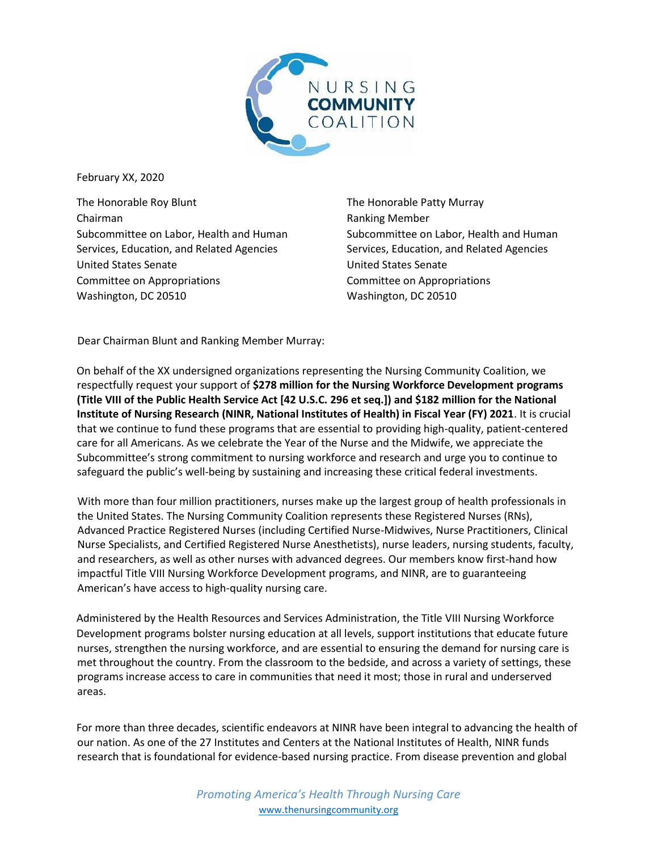

February XX, 2020

The Honorable Roy Blunt Chairman Subcommittee on Labor, Health and Human Services, Education, and Related Agencies United States Senate Committee on Appropriations Washington, DC 20510

The Honorable Patty Murray Ranking Member Subcommittee on Labor, Health and Human Services, Education, and Related Agencies United States Senate Committee on Appropriations Washington, DC 20510

Dear Chairman Blunt and Ranking Member Murray:

On behalf of the XX undersigned organizations representing the Nursing Community Coalition, we respectfully request your support of **\$278 million for the Nursing Workforce Development programs (Title VIII of the Public Health Service Act [42 U.S.C. 296 et seq.]) and \$182 million for the National Institute of Nursing Research (NINR, National Institutes of Health) in Fiscal Year (FY) 2021**. It is crucial that we continue to fund these programs that are essential to providing high-quality, patient-centered care for all Americans. As we celebrate the Year of the Nurse and the Midwife, we appreciate the Subcommittee's strong commitment to nursing workforce and research and urge you to continue to safeguard the public's well-being by sustaining and increasing these critical federal investments.

With more than four million practitioners, nurses make up the largest group of health professionals in the United States. The Nursing Community Coalition represents these Registered Nurses (RNs), Advanced Practice Registered Nurses (including Certified Nurse-Midwives, Nurse Practitioners, Clinical Nurse Specialists, and Certified Registered Nurse Anesthetists), nurse leaders, nursing students, faculty, and researchers, as well as other nurses with advanced degrees. Our members know first-hand how impactful Title VIII Nursing Workforce Development programs, and NINR, are to guaranteeing American's have access to high-quality nursing care.

Administered by the Health Resources and Services Administration, the Title VIII Nursing Workforce Development programs bolster nursing education at all levels, support institutions that educate future nurses, strengthen the nursing workforce, and are essential to ensuring the demand for nursing care is met throughout the country. From the classroom to the bedside, and across a variety of settings, these programs increase access to care in communities that need it most; those in rural and underserved areas.

For more than three decades, scientific endeavors at NINR have been integral to advancing the health of our nation. As one of the 27 Institutes and Centers at the National Institutes of Health, NINR funds research that is foundational for evidence-based nursing practice. From disease prevention and global

> *Promoting America's Health Through Nursing Care* www.thenursingcommunity.org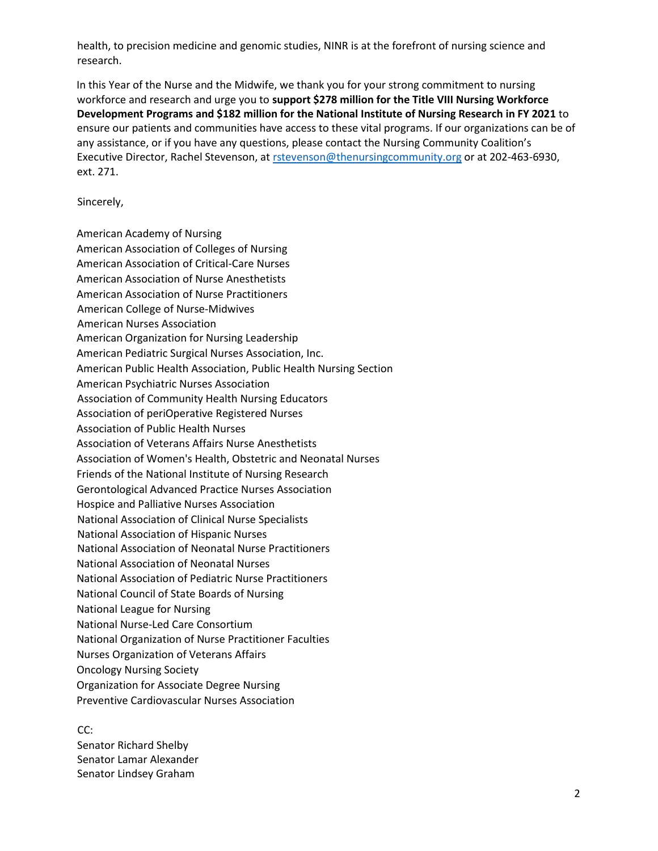health, to precision medicine and genomic studies, NINR is at the forefront of nursing science and research.

In this Year of the Nurse and the Midwife, we thank you for your strong commitment to nursing workforce and research and urge you to **support \$278 million for the Title VIII Nursing Workforce Development Programs and \$182 million for the National Institute of Nursing Research in FY 2021** to ensure our patients and communities have access to these vital programs. If our organizations can be of any assistance, or if you have any questions, please contact the Nursing Community Coalition's Executive Director, Rachel Stevenson, at rstevenson@thenursingcommunity.org or at 202-463-6930, ext. 271.

Sincerely,

American Academy of Nursing American Association of Colleges of Nursing American Association of Critical-Care Nurses American Association of Nurse Anesthetists American Association of Nurse Practitioners American College of Nurse-Midwives American Nurses Association American Organization for Nursing Leadership American Pediatric Surgical Nurses Association, Inc. American Public Health Association, Public Health Nursing Section American Psychiatric Nurses Association Association of Community Health Nursing Educators Association of periOperative Registered Nurses Association of Public Health Nurses Association of Veterans Affairs Nurse Anesthetists Association of Women's Health, Obstetric and Neonatal Nurses Friends of the National Institute of Nursing Research Gerontological Advanced Practice Nurses Association Hospice and Palliative Nurses Association National Association of Clinical Nurse Specialists National Association of Hispanic Nurses National Association of Neonatal Nurse Practitioners National Association of Neonatal Nurses National Association of Pediatric Nurse Practitioners National Council of State Boards of Nursing National League for Nursing National Nurse-Led Care Consortium National Organization of Nurse Practitioner Faculties Nurses Organization of Veterans Affairs Oncology Nursing Society Organization for Associate Degree Nursing Preventive Cardiovascular Nurses Association

CC: Senator Richard Shelby Senator Lamar Alexander Senator Lindsey Graham